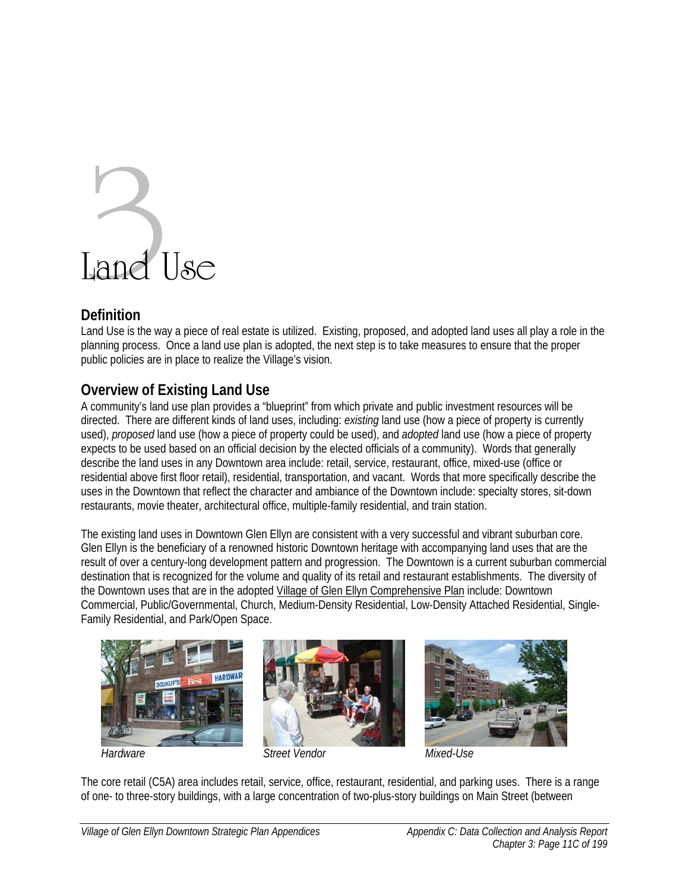# Land Use

## **Definition**

Land Use is the way a piece of real estate is utilized. Existing, proposed, and adopted land uses all play a role in the planning process. Once a land use plan is adopted, the next step is to take measures to ensure that the proper public policies are in place to realize the Village's vision.

## **Overview of Existing Land Use**

A community's land use plan provides a "blueprint" from which private and public investment resources will be directed. There are different kinds of land uses, including: *existing* land use (how a piece of property is currently used), *proposed* land use (how a piece of property could be used), and *adopted* land use (how a piece of property expects to be used based on an official decision by the elected officials of a community). Words that generally describe the land uses in any Downtown area include: retail, service, restaurant, office, mixed-use (office or residential above first floor retail), residential, transportation, and vacant. Words that more specifically describe the uses in the Downtown that reflect the character and ambiance of the Downtown include: specialty stores, sit-down restaurants, movie theater, architectural office, multiple-family residential, and train station.

The existing land uses in Downtown Glen Ellyn are consistent with a very successful and vibrant suburban core. Glen Ellyn is the beneficiary of a renowned historic Downtown heritage with accompanying land uses that are the result of over a century-long development pattern and progression. The Downtown is a current suburban commercial destination that is recognized for the volume and quality of its retail and restaurant establishments. The diversity of the Downtown uses that are in the adopted Village of Glen Ellyn Comprehensive Plan include: Downtown Commercial, Public/Governmental, Church, Medium-Density Residential, Low-Density Attached Residential, Single-Family Residential, and Park/Open Space.









The core retail (C5A) area includes retail, service, office, restaurant, residential, and parking uses. There is a range of one- to three-story buildings, with a large concentration of two-plus-story buildings on Main Street (between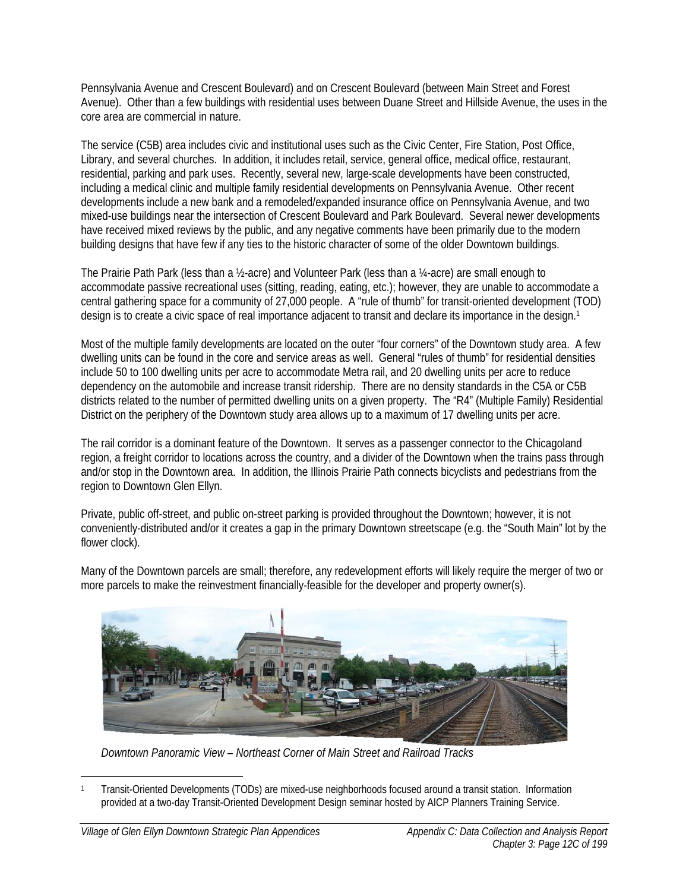Pennsylvania Avenue and Crescent Boulevard) and on Crescent Boulevard (between Main Street and Forest Avenue). Other than a few buildings with residential uses between Duane Street and Hillside Avenue, the uses in the core area are commercial in nature.

The service (C5B) area includes civic and institutional uses such as the Civic Center, Fire Station, Post Office, Library, and several churches. In addition, it includes retail, service, general office, medical office, restaurant, residential, parking and park uses. Recently, several new, large-scale developments have been constructed, including a medical clinic and multiple family residential developments on Pennsylvania Avenue. Other recent developments include a new bank and a remodeled/expanded insurance office on Pennsylvania Avenue, and two mixed-use buildings near the intersection of Crescent Boulevard and Park Boulevard. Several newer developments have received mixed reviews by the public, and any negative comments have been primarily due to the modern building designs that have few if any ties to the historic character of some of the older Downtown buildings.

The Prairie Path Park (less than a ½-acre) and Volunteer Park (less than a ¼-acre) are small enough to accommodate passive recreational uses (sitting, reading, eating, etc.); however, they are unable to accommodate a central gathering space for a community of 27,000 people. A "rule of thumb" for transit-oriented development (TOD) design is to create a civic space of real importance adjacent to transit and declare its importance in the design.<sup>1</sup>

Most of the multiple family developments are located on the outer "four corners" of the Downtown study area. A few dwelling units can be found in the core and service areas as well. General "rules of thumb" for residential densities include 50 to 100 dwelling units per acre to accommodate Metra rail, and 20 dwelling units per acre to reduce dependency on the automobile and increase transit ridership. There are no density standards in the C5A or C5B districts related to the number of permitted dwelling units on a given property. The "R4" (Multiple Family) Residential District on the periphery of the Downtown study area allows up to a maximum of 17 dwelling units per acre.

The rail corridor is a dominant feature of the Downtown. It serves as a passenger connector to the Chicagoland region, a freight corridor to locations across the country, and a divider of the Downtown when the trains pass through and/or stop in the Downtown area. In addition, the Illinois Prairie Path connects bicyclists and pedestrians from the region to Downtown Glen Ellyn.

Private, public off-street, and public on-street parking is provided throughout the Downtown; however, it is not conveniently-distributed and/or it creates a gap in the primary Downtown streetscape (e.g. the "South Main" lot by the flower clock).



Many of the Downtown parcels are small; therefore, any redevelopment efforts will likely require the merger of two or more parcels to make the reinvestment financially-feasible for the developer and property owner(s).

*Downtown Panoramic View – Northeast Corner of Main Street and Railroad Tracks* 

 $\overline{a}$ 1 Transit-Oriented Developments (TODs) are mixed-use neighborhoods focused around a transit station. Information provided at a two-day Transit-Oriented Development Design seminar hosted by AICP Planners Training Service.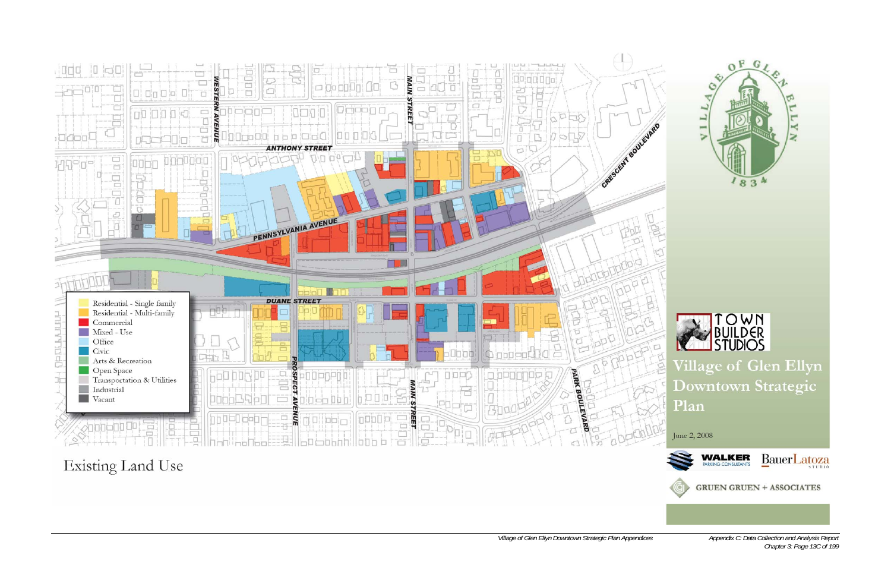

**Existing Land Use** 



Appendix C: Data Collection and Analysis Report<br>Chapter 3: Page 13C of 199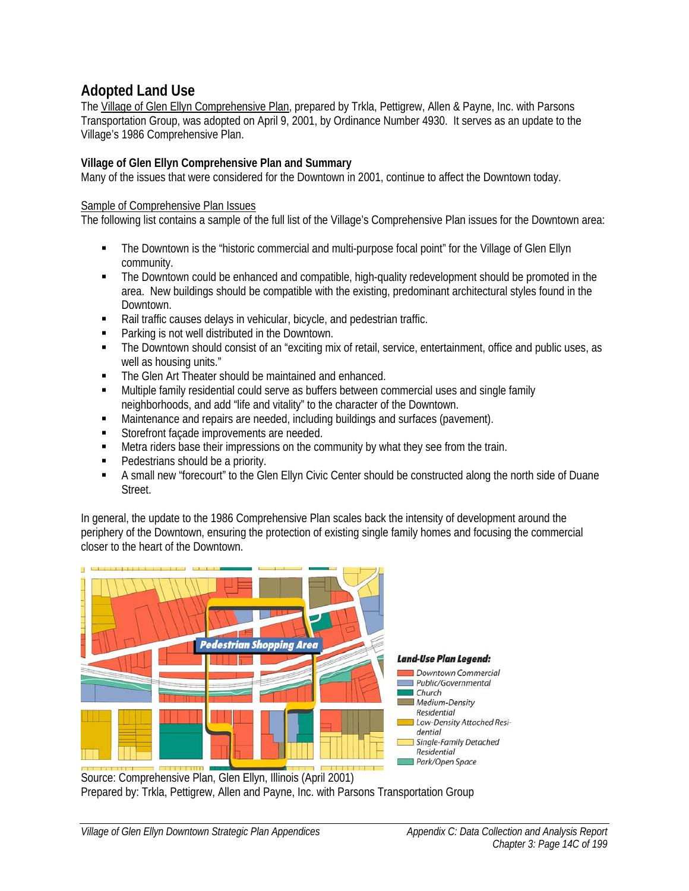# **Adopted Land Use**

The Village of Glen Ellyn Comprehensive Plan, prepared by Trkla, Pettigrew, Allen & Payne, Inc. with Parsons Transportation Group, was adopted on April 9, 2001, by Ordinance Number 4930. It serves as an update to the Village's 1986 Comprehensive Plan.

## **Village of Glen Ellyn Comprehensive Plan and Summary**

Many of the issues that were considered for the Downtown in 2001, continue to affect the Downtown today.

### Sample of Comprehensive Plan Issues

The following list contains a sample of the full list of the Village's Comprehensive Plan issues for the Downtown area:

- The Downtown is the "historic commercial and multi-purpose focal point" for the Village of Glen Ellyn community.
- The Downtown could be enhanced and compatible, high-quality redevelopment should be promoted in the area. New buildings should be compatible with the existing, predominant architectural styles found in the Downtown.
- Rail traffic causes delays in vehicular, bicycle, and pedestrian traffic.
- Parking is not well distributed in the Downtown.
- The Downtown should consist of an "exciting mix of retail, service, entertainment, office and public uses, as well as housing units."
- **The Glen Art Theater should be maintained and enhanced.**
- **Multiple family residential could serve as buffers between commercial uses and single family** neighborhoods, and add "life and vitality" to the character of the Downtown.
- Maintenance and repairs are needed, including buildings and surfaces (pavement).
- Storefront façade improvements are needed.
- **Metra riders base their impressions on the community by what they see from the train.**
- **Pedestrians should be a priority.**
- A small new "forecourt" to the Glen Ellyn Civic Center should be constructed along the north side of Duane Street.

In general, the update to the 1986 Comprehensive Plan scales back the intensity of development around the periphery of the Downtown, ensuring the protection of existing single family homes and focusing the commercial closer to the heart of the Downtown.



 Source: Comprehensive Plan, Glen Ellyn, Illinois (April 2001) Prepared by: Trkla, Pettigrew, Allen and Payne, Inc. with Parsons Transportation Group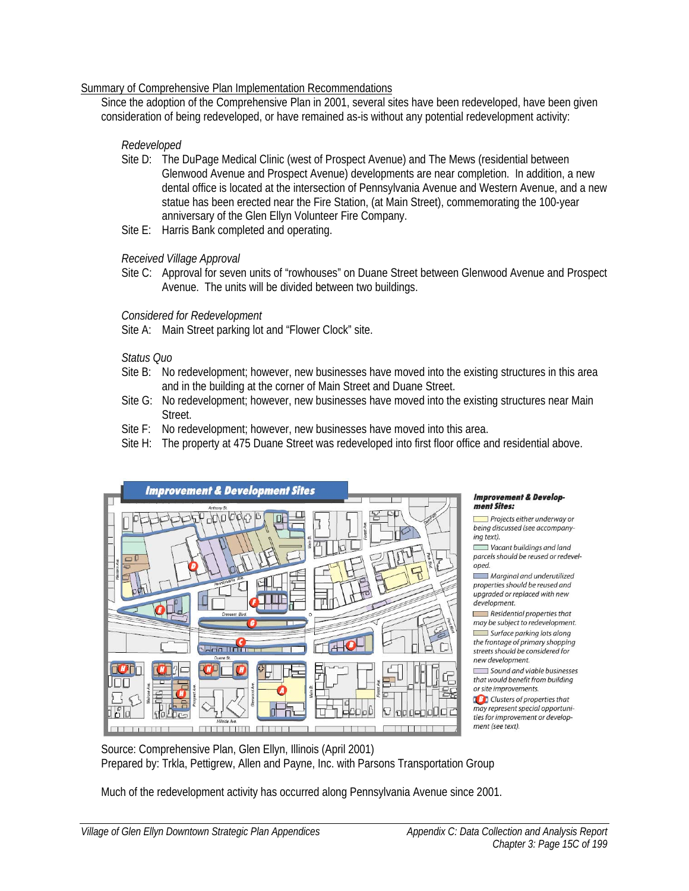#### Summary of Comprehensive Plan Implementation Recommendations

Since the adoption of the Comprehensive Plan in 2001, several sites have been redeveloped, have been given consideration of being redeveloped, or have remained as-is without any potential redevelopment activity:

#### *Redeveloped*

- Site D: The DuPage Medical Clinic (west of Prospect Avenue) and The Mews (residential between Glenwood Avenue and Prospect Avenue) developments are near completion. In addition, a new dental office is located at the intersection of Pennsylvania Avenue and Western Avenue, and a new statue has been erected near the Fire Station, (at Main Street), commemorating the 100-year anniversary of the Glen Ellyn Volunteer Fire Company.
- Site E: Harris Bank completed and operating.

#### *Received Village Approval*

Site C: Approval for seven units of "rowhouses" on Duane Street between Glenwood Avenue and Prospect Avenue. The units will be divided between two buildings.

#### *Considered for Redevelopment*

Site A: Main Street parking lot and "Flower Clock" site.

#### *Status Quo*

- Site B: No redevelopment; however, new businesses have moved into the existing structures in this area and in the building at the corner of Main Street and Duane Street.
- Site G: No redevelopment; however, new businesses have moved into the existing structures near Main Street.
- Site F: No redevelopment; however, new businesses have moved into this area.
- Site H: The property at 475 Duane Street was redeveloped into first floor office and residential above.



#### **Improvement & Develop**ment Sites:

 $\Box$  Projects either underway or being discussed (see accompanying text).

Vacant buildings and land parcels should be reused or redeveloped.

Marginal and underutilized properties should be reused and upgraded or replaced with new development.

 $\Box$  Residential properties that may be subject to redevelopment. Surface parking lots along the frontage of primary shopping streets should be considered for new development.

Sound and viable businesses that would benefit from building or site improvements.

**Confidence** Clusters of properties that may represent special opportunities for improvement or development (see text).

Much of the redevelopment activity has occurred along Pennsylvania Avenue since 2001.

Source: Comprehensive Plan, Glen Ellyn, Illinois (April 2001) Prepared by: Trkla, Pettigrew, Allen and Payne, Inc. with Parsons Transportation Group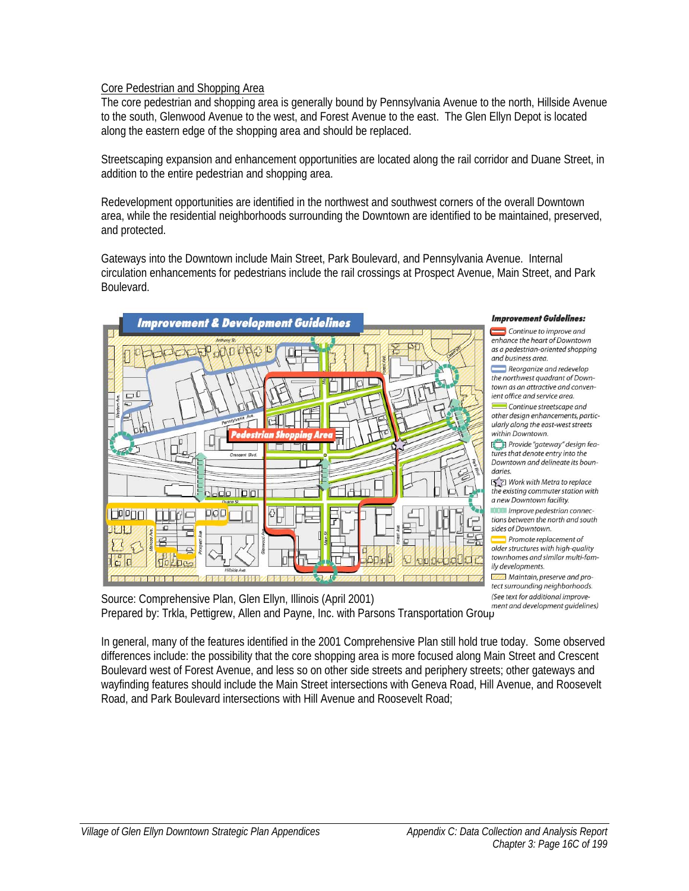#### Core Pedestrian and Shopping Area

The core pedestrian and shopping area is generally bound by Pennsylvania Avenue to the north, Hillside Avenue to the south, Glenwood Avenue to the west, and Forest Avenue to the east. The Glen Ellyn Depot is located along the eastern edge of the shopping area and should be replaced.

Streetscaping expansion and enhancement opportunities are located along the rail corridor and Duane Street, in addition to the entire pedestrian and shopping area.

Redevelopment opportunities are identified in the northwest and southwest corners of the overall Downtown area, while the residential neighborhoods surrounding the Downtown are identified to be maintained, preserved, and protected.

Gateways into the Downtown include Main Street, Park Boulevard, and Pennsylvania Avenue. Internal circulation enhancements for pedestrians include the rail crossings at Prospect Avenue, Main Street, and Park Boulevard.



#### **Improvement Guidelines:**

 $\Box$  Continue to improve and enhance the heart of Downtown as a pedestrian-oriented shopping and business area

Reorganize and redevelop the northwest quadrant of Downtown as an attractive and convenient office and service area.

Continue streetscape and other design enhancements, particularly along the east-west streets within Downtown.

Provide "gateway" design features that denote entry into the Downtown and delineate its boundaries

S ≥ Work with Metra to replace the existing commuter station with a new Downtown facility.

Improve pedestrian connections between the north and south sides of Downtown.

 $\blacksquare$  Promote replacement of older structures with high-quality townhomes and similar multi-family developments.

Maintain, preserve and pro-

Example the test surrounding neighborhoods.<br>Source: Comprehensive Plan, Glen Ellyn, Illinois (April 2001) (See text for additional improve-<br>ment and development guidelines) Prepared by: Trkla, Pettigrew, Allen and Payne, Inc. with Parsons Transportation Group

In general, many of the features identified in the 2001 Comprehensive Plan still hold true today. Some observed differences include: the possibility that the core shopping area is more focused along Main Street and Crescent Boulevard west of Forest Avenue, and less so on other side streets and periphery streets; other gateways and wayfinding features should include the Main Street intersections with Geneva Road, Hill Avenue, and Roosevelt Road, and Park Boulevard intersections with Hill Avenue and Roosevelt Road;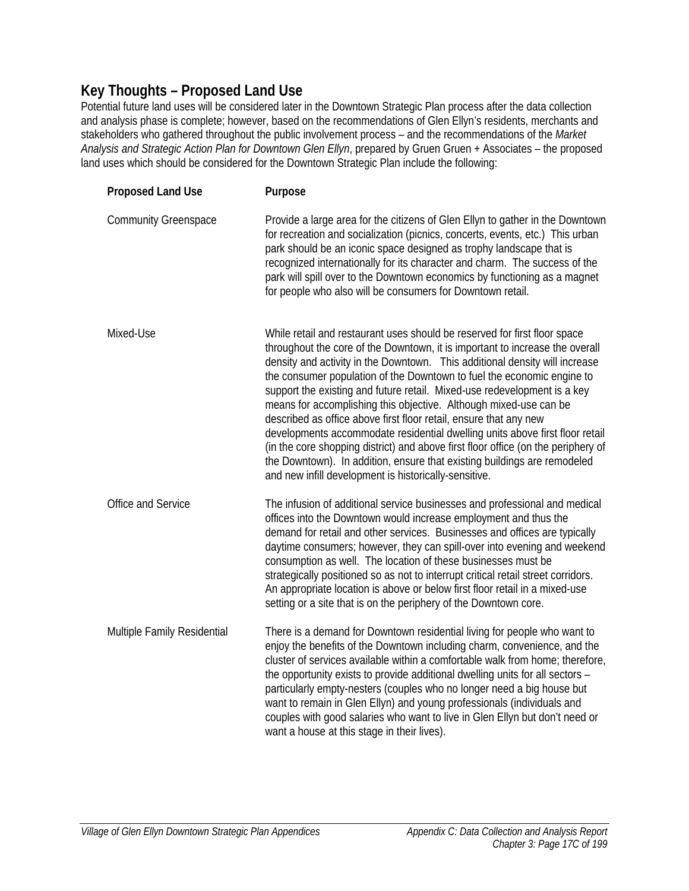## **Key Thoughts – Proposed Land Use**

Potential future land uses will be considered later in the Downtown Strategic Plan process after the data collection and analysis phase is complete; however, based on the recommendations of Glen Ellyn's residents, merchants and stakeholders who gathered throughout the public involvement process – and the recommendations of the *Market Analysis and Strategic Action Plan for Downtown Glen Ellyn*, prepared by Gruen Gruen + Associates – the proposed land uses which should be considered for the Downtown Strategic Plan include the following:

| <b>Proposed Land Use</b>    | Purpose                                                                                                                                                                                                                                                                                                                                                                                                                                                                                                                                                                                                                                                                                                                                                                                                                                            |
|-----------------------------|----------------------------------------------------------------------------------------------------------------------------------------------------------------------------------------------------------------------------------------------------------------------------------------------------------------------------------------------------------------------------------------------------------------------------------------------------------------------------------------------------------------------------------------------------------------------------------------------------------------------------------------------------------------------------------------------------------------------------------------------------------------------------------------------------------------------------------------------------|
| <b>Community Greenspace</b> | Provide a large area for the citizens of Glen Ellyn to gather in the Downtown<br>for recreation and socialization (picnics, concerts, events, etc.) This urban<br>park should be an iconic space designed as trophy landscape that is<br>recognized internationally for its character and charm. The success of the<br>park will spill over to the Downtown economics by functioning as a magnet<br>for people who also will be consumers for Downtown retail.                                                                                                                                                                                                                                                                                                                                                                                     |
| Mixed-Use                   | While retail and restaurant uses should be reserved for first floor space<br>throughout the core of the Downtown, it is important to increase the overall<br>density and activity in the Downtown. This additional density will increase<br>the consumer population of the Downtown to fuel the economic engine to<br>support the existing and future retail. Mixed-use redevelopment is a key<br>means for accomplishing this objective. Although mixed-use can be<br>described as office above first floor retail, ensure that any new<br>developments accommodate residential dwelling units above first floor retail<br>(in the core shopping district) and above first floor office (on the periphery of<br>the Downtown). In addition, ensure that existing buildings are remodeled<br>and new infill development is historically-sensitive. |
| Office and Service          | The infusion of additional service businesses and professional and medical<br>offices into the Downtown would increase employment and thus the<br>demand for retail and other services. Businesses and offices are typically<br>daytime consumers; however, they can spill-over into evening and weekend<br>consumption as well. The location of these businesses must be<br>strategically positioned so as not to interrupt critical retail street corridors.<br>An appropriate location is above or below first floor retail in a mixed-use<br>setting or a site that is on the periphery of the Downtown core.                                                                                                                                                                                                                                  |
| Multiple Family Residential | There is a demand for Downtown residential living for people who want to<br>enjoy the benefits of the Downtown including charm, convenience, and the<br>cluster of services available within a comfortable walk from home; therefore,<br>the opportunity exists to provide additional dwelling units for all sectors -<br>particularly empty-nesters (couples who no longer need a big house but<br>want to remain in Glen Ellyn) and young professionals (individuals and<br>couples with good salaries who want to live in Glen Ellyn but don't need or<br>want a house at this stage in their lives).                                                                                                                                                                                                                                           |